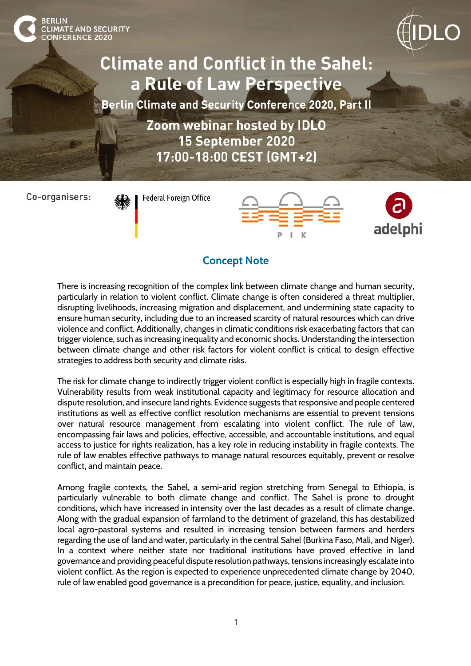**Climate and Conflict in the Sahel:** a Rule of Law Perspective

Berlin Climate and Security Conference 2020, Part II

Zoom webinar hosted by IDLO 15 September 2020 17:00-18:00 CEST (GMT+2)

Co-organisers:

CLIMATE AND SECURITY<br>CONFERENCE 2020

**Federal Foreign Office** 





## **Concept Note**

There is increasing recognition of the complex link between climate change and human security, particularly in relation to violent conflict. Climate change is often considered a threat multiplier, disrupting livelihoods, increasing migration and displacement, and undermining state capacity to ensure human security, including due to an increased scarcity of natural resources which can drive violence and conflict. Additionally, changes in climatic conditions risk exacerbating factors that can trigger violence, such as increasing inequality and economic shocks. Understanding the intersection between climate change and other risk factors for violent conflict is critical to design effective strategies to address both security and climate risks.

The risk for climate change to indirectly trigger violent conflict is especially high in fragile contexts. Vulnerability results from weak institutional capacity and legitimacy for resource allocation and dispute resolution, and insecure land rights. Evidence suggests that responsive and people centered institutions as well as effective conflict resolution mechanisms are essential to prevent tensions over natural resource management from escalating into violent conflict. The rule of law, encompassing fair laws and policies, effective, accessible, and accountable institutions, and equal access to justice for rights realization, has a key role in reducing instability in fragile contexts. The rule of law enables effective pathways to manage natural resources equitably, prevent or resolve conflict, and maintain peace.

Among fragile contexts, the Sahel, a semi-arid region stretching from Senegal to Ethiopia, is particularly vulnerable to both climate change and conflict. The Sahel is prone to drought conditions, which have increased in intensity over the last decades as a result of climate change. Along with the gradual expansion of farmland to the detriment of grazeland, this has destabilized local agro-pastoral systems and resulted in increasing tension between farmers and herders regarding the use of land and water, particularly in the central Sahel (Burkina Faso, Mali, and Niger). In a context where neither state nor traditional institutions have proved effective in land governance and providing peaceful dispute resolution pathways, tensions increasingly escalate into violent conflict. As the region is expected to experience unprecedented climate change by 2040, rule of law enabled good governance is a precondition for peace, justice, equality, and inclusion.